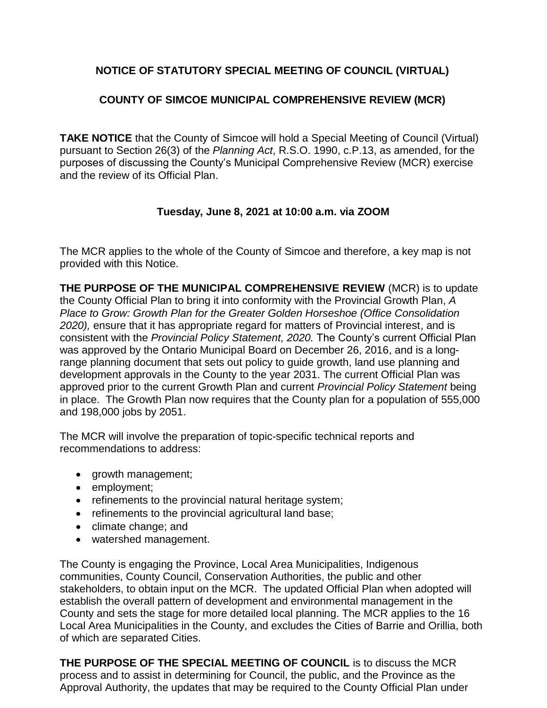## **NOTICE OF STATUTORY SPECIAL MEETING OF COUNCIL (VIRTUAL)**

## **COUNTY OF SIMCOE MUNICIPAL COMPREHENSIVE REVIEW (MCR)**

**TAKE NOTICE** that the County of Simcoe will hold a Special Meeting of Council (Virtual) pursuant to Section 26(3) of the *Planning Act*, R.S.O. 1990, c.P.13, as amended, for the purposes of discussing the County's Municipal Comprehensive Review (MCR) exercise and the review of its Official Plan.

## **Tuesday, June 8, 2021 at 10:00 a.m. via ZOOM**

The MCR applies to the whole of the County of Simcoe and therefore, a key map is not provided with this Notice.

**THE PURPOSE OF THE MUNICIPAL COMPREHENSIVE REVIEW** (MCR) is to update the County Official Plan to bring it into conformity with the Provincial Growth Plan, *A Place to Grow: Growth Plan for the Greater Golden Horseshoe (Office Consolidation 2020),* ensure that it has appropriate regard for matters of Provincial interest, and is consistent with the *Provincial Policy Statement, 2020.* The County's current Official Plan was approved by the Ontario Municipal Board on December 26, 2016, and is a longrange planning document that sets out policy to guide growth, land use planning and development approvals in the County to the year 2031. The current Official Plan was approved prior to the current Growth Plan and current *Provincial Policy Statement* being in place. The Growth Plan now requires that the County plan for a population of 555,000 and 198,000 jobs by 2051.

The MCR will involve the preparation of topic-specific technical reports and recommendations to address:

- growth management;
- employment;
- refinements to the provincial natural heritage system;
- refinements to the provincial agricultural land base;
- climate change; and
- watershed management.

The County is engaging the Province, Local Area Municipalities, Indigenous communities, County Council, Conservation Authorities, the public and other stakeholders, to obtain input on the MCR. The updated Official Plan when adopted will establish the overall pattern of development and environmental management in the County and sets the stage for more detailed local planning. The MCR applies to the 16 Local Area Municipalities in the County, and excludes the Cities of Barrie and Orillia, both of which are separated Cities.

**THE PURPOSE OF THE SPECIAL MEETING OF COUNCIL** is to discuss the MCR process and to assist in determining for Council, the public, and the Province as the Approval Authority, the updates that may be required to the County Official Plan under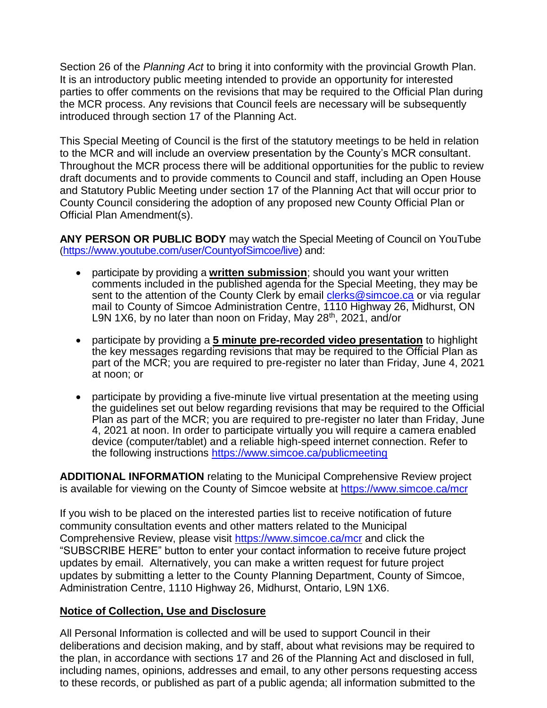Section 26 of the *Planning Act* to bring it into conformity with the provincial Growth Plan. It is an introductory public meeting intended to provide an opportunity for interested parties to offer comments on the revisions that may be required to the Official Plan during the MCR process. Any revisions that Council feels are necessary will be subsequently introduced through section 17 of the Planning Act.

This Special Meeting of Council is the first of the statutory meetings to be held in relation to the MCR and will include an overview presentation by the County's MCR consultant. Throughout the MCR process there will be additional opportunities for the public to review draft documents and to provide comments to Council and staff, including an Open House and Statutory Public Meeting under section 17 of the Planning Act that will occur prior to County Council considering the adoption of any proposed new County Official Plan or Official Plan Amendment(s).

**ANY PERSON OR PUBLIC BODY** may watch the Special Meeting of Council on YouTube ([https://www.youtube.com/user/CountyofSimcoe/live\)](https://www.youtube.com/user/CountyofSimcoe/live) and:

- participate by providing a **written submission**; should you want your written comments included in the published agenda for the Special Meeting, they may be sent to the attention of the County Clerk by email [clerks@simcoe.ca](mailto:clerks@simcoe.ca) or via regular mail to County of Simcoe Administration Centre, 1110 Highway 26, Midhurst, ON L9N 1X6, by no later than noon on Friday, May 28<sup>th</sup>, 2021, and/or
- participate by providing a **5 minute pre-recorded video presentation** to highlight the key messages regarding revisions that may be required to the Official Plan as part of the MCR; you are required to pre-register no later than Friday, June 4, 2021 at noon; or
- participate by providing a five-minute live virtual presentation at the meeting using the guidelines set out below regarding revisions that may be required to the Official Plan as part of the MCR; you are required to pre-register no later than Friday. June 4, 2021 at noon. In order to participate virtually you will require a camera enabled device (computer/tablet) and a reliable high-speed internet connection. Refer to the following instructions <https://www.simcoe.ca/publicmeeting>

**ADDITIONAL INFORMATION** relating to the Municipal Comprehensive Review project is available for viewing on the County of Simcoe website at<https://www.simcoe.ca/mcr>

If you wish to be placed on the interested parties list to receive notification of future community consultation events and other matters related to the Municipal Comprehensive Review, please visit<https://www.simcoe.ca/mcr> and click the "SUBSCRIBE HERE" button to enter your contact information to receive future project updates by email. Alternatively, you can make a written request for future project updates by submitting a letter to the County Planning Department, County of Simcoe, Administration Centre, 1110 Highway 26, Midhurst, Ontario, L9N 1X6.

## **Notice of Collection, Use and Disclosure**

All Personal Information is collected and will be used to support Council in their deliberations and decision making, and by staff, about what revisions may be required to the plan, in accordance with sections 17 and 26 of the Planning Act and disclosed in full, including names, opinions, addresses and email, to any other persons requesting access to these records, or published as part of a public agenda; all information submitted to the